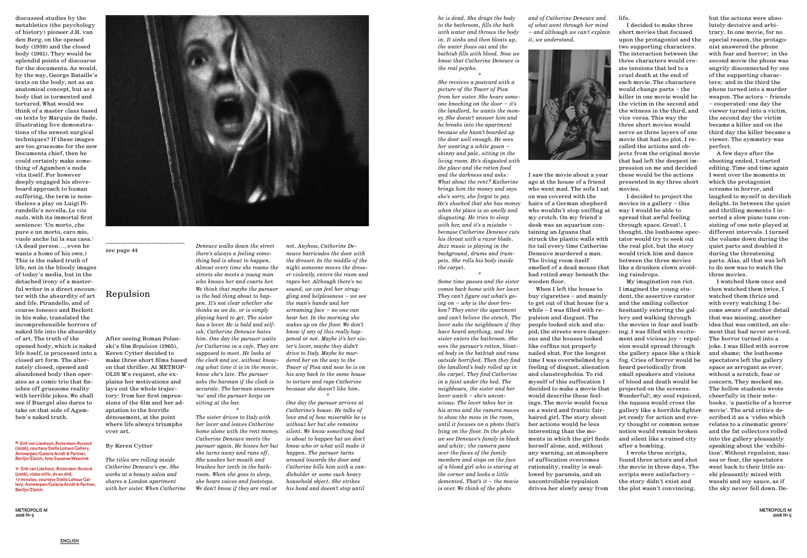METROPOLIS M 2006 Nº 5



**discussed studies by the metabletics (the psychology of history) pioneer J.H. van den Berg, on the opened body (1959) and the closed body (1961). They would be splendid points of discourse for the documenta. As would, by the way, George Bataille's texts on the body, not as an anatomical concept, but as a body that is tormented and tortured. What would we think of a master class based on texts by Marquis de Sade, illustrating live demonstrations of the newest surgical techniques? If these images are too gruesome for the new Documenta chief, then he could certainly make something of Agamben's nuda vita itself. For however deeply engaged his aboveboard approach to human suffering, the term is nonetheless a play on Luigi Pirandello's novella,** *La vita nuda***, with its immortal first sentence: 'Un morto, che pure e un morto, caro mio, vuole anche lui la sua casa.' (A dead person…, even he wants a home of his own.) This is the naked truth of life, not in the bloody images of today's media, but in the detached irony of a masterful writer in a direct encounter with the absurdity of art and life. Pirandello, and of course Ionesco and Beckett in his wake, translated the incomprehensible horrors of naked life into the absurdity of art. The truth of the opened body, which is naked life itself, is processed into a closed art form. The alternately closed, opened and abandoned body then operates as a comic trio that finishes off gruesome reality with terrible jokes. We shall see if Buergel also dares to take on that side of Agamben's naked truth.**

**———————————— see page 44**

### **Repulsion**

**After seeing Roman Polanski's film** *Repulsion* **(1965), Keren Cytter decided to make three short films based on that thriller. At METROP-OLIS M's request, she explains her motivations and lays out the whole trajectory: from her first impressions of the film and her adaptation to the horrific dénouement, at the point where life always triumphs over art.**

### **By Keren Cytter**

*The titles are rolling inside Catherine Deneuve's eye. She works at a beauty salon and shares a London apartment with her sister. When Catherine* 

*Deneuve walks down the street there's always a feeling something bad is about to happen. Almost every time she roams the streets she meets a young man who knows her and courts her. We think that maybe the pursuer is the bad thing about to happen. It's not clear whether she thinks as we do, or is simply playing hard to get. The sister has a lover. He is bald and selfish. Catherine Deneuve hates him. One day the pursuer waits for Catherine in a cafe. They are supposed to meet. He looks at the clock and we, without knowing what time it is in the movie, know she's late. The pursuer asks the barman if the clock is accurate. The barman answers 'no' and the pursuer keeps on sitting at the bar.*

*\**

*The sister drives to Italy with her lover and leaves Catherine home alone with the rent money. Catherine Deneuve meets the pursuer again. He kisses her but she turns away and runs off. She washes her mouth and brushes her teeth in the bathroom. When she goes to sleep, she hears voices and footsteps. We don't know if they are real or* 

*not. Anyhow, Catherine Deneuve barricades the door with the dresser. In the middle of the night someone moves the dresser violently, enters the room and rapes her. Although there's no sound, we can feel her struggling and helplessness – we see the man's hands and her screaming face – no one can hear her. In the morning she wakes up on the floor. We don't know if any of this really happened or not. Maybe it's her sister's lover, maybe they didn't drive to Italy. Maybe he murdered her on the way to the Tower of Pisa and now he is on his way back to the same house to torture and rape Catherine because she doesn't like him. \**

*One day the pursuer arrives at Catherine's house. He talks of love and of how miserable he is without her but she remains silent. We know something bad is about to happen but we don't know who or what will make it happen. The pursuer turns around towards the door and Catherine kills him with a candleholder or some such heavy household object. She strikes his head and doesn't stop until* 

*he is dead. She drags the body to the bathroom, fills the bath with water and throws the body in. It sinks and then bloats up, the water flows out and the bathtub fills with blood. Now we know that Catherine Deneuve is the real psycho.*

*\**

*She receives a postcard with a picture of the Tower of Pisa from her sister. She hears someone knocking on the door – it's the landlord, he wants the money. She doesn't answer him and he breaks into the apartment because she hasn't boarded up the door well enough. He sees her wearing a white gown – skinny and pale, sitting in the living room. He's disgusted with the place and the rotten food and the darkness and asks: What about the rent? Katherine brings him the money and says she's sorry, she forgot to pay. He's shocked that she has money when the place is so smelly and disgusting. He tries to sleep with her, and it's a mistake – because Catherine Deneuve cuts his throat with a razor blade. Jazz music is playing in the background, drums and trumpets. She rolls his body inside the carpet.*

*\**

*Some time passes and the sister comes back home with her lover. They can't figure out what's going on – why is the door broken? They enter the apartment and can't believe the stench. The lover asks the neighbours if they have heard anything, and the sister enters the bathroom. She sees the pursuer's rotten, bloated body in the bathtub and runs outside horrified. Then they find the landlord's body rolled up in the carpet. They find Catherine in a faint under the bed. The neighbours, the sister and her lover watch – she's unconscious. The lover takes her in his arms and the camera moves to show the mess in the room, until it focuses on a photo that's lying on the floor. In the photo we see Deneuve's family in black and white; the camera pans over the faces of the family members and stops on the face of a blond girl who is staring at the corner and looks a little demented. That's it – the movie is over. We think of the photo* 

*and of Catherine Deneuve and of what went through her mind – and although we can't explain it, we understand.*

**I saw the movie about a year ago at the house of a friend who went mad. The sofa I sat on was covered with the hairs of a German shepherd who wouldn't stop sniffing at my crotch. On my friend's desk was an aquarium containing an Iguana that struck the plastic walls with its tail every time Catherine Deneuve murdered a man. The living room itself smelled of a dead mouse that had rotted away beneath the wooden floor.**

**When I left the house to buy cigarettes – and mainly to get out of that house for a while – I was filled with repulsion and disgust. The people looked sick and stupid, the streets were dangerous and the houses looked like coffins not properly nailed shut. For the longest time I was overwhelmed by a feeling of disgust, alienation and claustrophobia. To rid myself of this suffocation I decided to make a movie that would describe these feelings. The movie would focus on a weird and frantic fairhaired girl. The story about her actions would be less interesting than the moments in which the girl finds herself alone, and, without any warning, an atmosphere of suffocation overcomes rationality, reality is swallowed by paranoia, and an uncontrollable repulsion drives her slowly away from** 

**life.**

**I decided to make three short movies that focused upon the protagonist and the two supporting characters. The interaction between the three characters would create tensions that led to a cruel death at the end of each movie. The characters would change parts – the killer in one movie would be the victim in the second and the witness in the third, and vice versa. This way the three short movies would serve as three layers of one movie that had no plot. I recalled the actions and objects from the original movie that had left the deepest impression on me and decided these would be the actions presented in my three short movies.** 

**I decided to project the movies in a gallery – this way I would be able to spread that awful feeling through space. Great!, I thought, the loathsome spectator would try to seek out the real plot, but the story would trick him and dance between the three movies like a drunken clown avoiding raindrops.**

**My imagination ran riot. I imagined the young student, the assertive curator and the smiling collector hesitantly entering the gallery and walking through the movies in fear and loathing. I was filled with excitement and vicious joy – repulsion would spread through the gallery space like a thick fog. Cries of horror would be heard periodically from small speakers and visions of blood and death would be projected on the screens. Wonderful!, my soul rejoiced, the nausea would cross the gallery like a horrible fighter jet ready for action and every thought or common sense notion would remain broken and silent like a ruined city after a bombing.** 

**I wrote three scripts, found three actors and shot the movie in three days. The scripts were satisfactory – the story didn't exist and the plot wasn't convincing,** 

**but the actions were absolutely decisive and arbitrary. In one movie, for no special reason, the protagonist answered the phone with fear and horror; in the second movie the phone was angrily disconnected by one of the supporting characters; and in the third the phone turned into a murder weapon. The actors – friends – cooperated: one day the viewer turned into a victim, the second day the victim became a killer and on the third day the killer became a viewer. The symmetry was perfect.**

**A few days after the shooting ended, I started editing. Time and time again I went over the moments in which the protagonist screams in horror, and laughed to myself in devilish delight. In between the quiet and thrilling moments I inserted a slow piano tune consisting of one note played at different intervals. I turned the volume down during the quiet parts and doubled it during the threatening parts. Alas, all that was left to do now was to watch the three movies.** 

**I watched them once and then watched them twice, I watched them thrice and with every watching I become aware of another detail that was missing, another idea that was omitted, an element that had never arrived. The horror turned into a joke. I was filled with sorrow and shame; the loathsome spectators left the gallery space as arrogant as ever, without a scratch, fear or concern. They mocked me. The hollow students wrote cheerfully in their notebooks' 'a pastiche of a horror movie'. The arid critics described it as a 'video which relates to a cinematic genre' and the fat collectors rolled into the gallery pleasantly speaking about the 'exhibition'. Without repulsion, nausea or fear, the spectators went back to their little sushi pleasantly mixed with wasabi and soy sauce, as if the sky never fell down. De-**

∂ Erik van Lieshout, *Rotterdam-Rostock* (2006), courtesy Stella Lohaus Gallery, Antwerpen/Galerie Arndt & Partner, Berlijn/Zürich, foto Suzanne Weenink

≤ Erik van Lieshout, *Rotterdam-Rostock* (2006), video stills, dv on dvd, 17 minutes, courtesy Stella Lohaus Gallery, Antwerpen/Galerie Arndt & Partner, Berlijn/Zürich